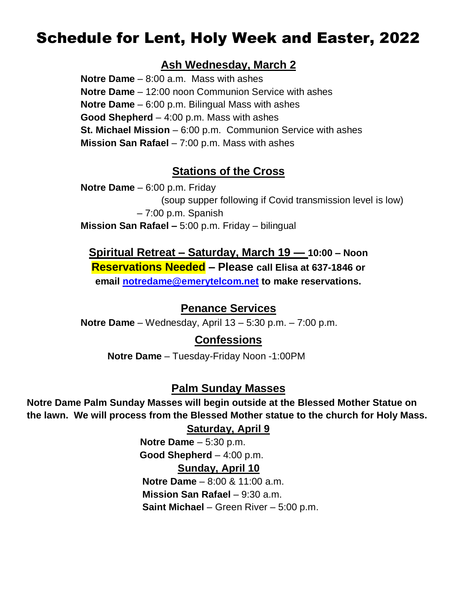# Schedule for Lent, Holy Week and Easter, 2022

## **Ash Wednesday, March 2**

**Notre Dame** – 8:00 a.m. Mass with ashes **Notre Dame** – 12:00 noon Communion Service with ashes **Notre Dame** – 6:00 p.m. Bilingual Mass with ashes **Good Shepherd** – 4:00 p.m. Mass with ashes **St. Michael Mission** – 6:00 p.m. Communion Service with ashes **Mission San Rafael** – 7:00 p.m. Mass with ashes

## **Stations of the Cross**

**Notre Dame** – 6:00 p.m. Friday (soup supper following if Covid transmission level is low) – 7:00 p.m. Spanish **Mission San Rafael –** 5:00 p.m. Friday – bilingual

## **Spiritual Retreat – Saturday, March 19 — 10:00 – Noon Reservations Needed – Please call Elisa at 637-1846 or**

**email [notredame@emerytelcom.net](mailto:notredame@emerytelcom.net) to make reservations.** 

## **Penance Services**

**Notre Dame** – Wednesday, April 13 – 5:30 p.m. – 7:00 p.m.

## **Confessions**

**Notre Dame** – Tuesday-Friday Noon -1:00PM

### **Palm Sunday Masses**

**Notre Dame Palm Sunday Masses will begin outside at the Blessed Mother Statue on the lawn. We will process from the Blessed Mother statue to the church for Holy Mass.** 

#### **Saturday, April 9**

 **Notre Dame** – 5:30 p.m.  **Good Shepherd** – 4:00 p.m.

#### **Sunday, April 10**

 **Notre Dame** – 8:00 & 11:00 a.m. **Mission San Rafael** – 9:30 a.m. **Saint Michael** – Green River – 5:00 p.m.